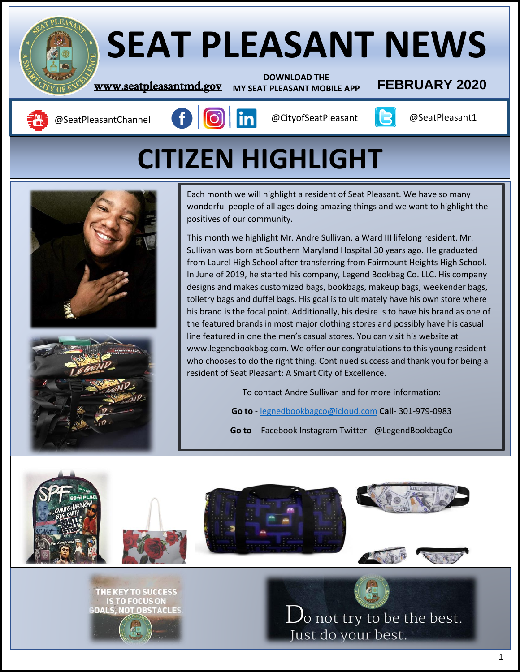# **SEAT PLEASANT NEWS**

**DOWNLOAD THE MY SEAT PLEASANT MOBILE APP**

# **WWW.seatpleasantmd.gov** MY SEAT PLEASANT MOBILE APP **FEBRUARY** 2020

 $\overline{\phantom{a}}$ 

|<br>|}

4

ı

**TO FOCUS ON** 

I ORSTACI ES





# **CITIZEN HIGHLIGHT**



This month we highlight Mr. Andre Sullivan, a Ward III lifelong resident. Mr. Sullivan was born at Southern Maryland Hospital 30 years ago. He graduated from Laurel High School after transferring from Fairmount Heights High School. In June of 2019, he started his company, Legend Bookbag Co. LLC. His company designs and makes customized bags, bookbags, makeup bags, weekender bags, toiletry bags and duffel bags. His goal is to ultimately have his own store where his brand is the focal point. Additionally, his desire is to have his brand as one of the featured brands in most major clothing stores and possibly have his casual line featured in one the men's casual stores. You can visit his website at www.legendbookbag.com. We offer our congratulations to this young resident who chooses to do the right thing. Continued success and thank you for being a resident of Seat Pleasant: A Smart City of Excellence.

To contact Andre Sullivan and for more information:

**Go to** - [legnedbookbagco@icloud.com](mailto:legnedbookbagco@icloud.com) **Call**- 301-979-0983

**Go to** - Facebook Instagram Twitter - @LegendBookbagCo



 $\rm D_{\rm o}$  not try to be the best. Just do your best.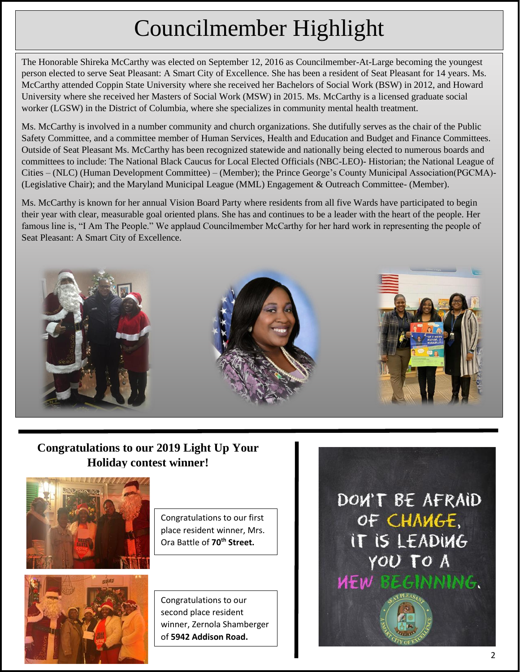# Councilmember Highlight

The Honorable Shireka McCarthy was elected on September 12, 2016 as Councilmember-At-Large becoming the youngest person elected to serve Seat Pleasant: A Smart City of Excellence. She has been a resident of Seat Pleasant for 14 years. Ms. McCarthy attended Coppin State University where she received her Bachelors of Social Work (BSW) in 2012, and Howard University where she received her Masters of Social Work (MSW) in 2015. Ms. McCarthy is a licensed graduate social worker (LGSW) in the District of Columbia, where she specializes in community mental health treatment.

Ms. McCarthy is involved in a number community and church organizations. She dutifully serves as the chair of the Public Safety Committee, and a committee member of Human Services, Health and Education and Budget and Finance Committees. Outside of Seat Pleasant Ms. McCarthy has been recognized statewide and nationally being elected to numerous boards and committees to include: The National Black Caucus for Local Elected Officials (NBC-LEO)- Historian; the National League of Cities – (NLC) (Human Development Committee) – (Member); the Prince George's County Municipal Association(PGCMA)- (Legislative Chair); and the Maryland Municipal League (MML) Engagement & Outreach Committee- (Member).

Ms. McCarthy is known for her annual Vision Board Party where residents from all five Wards have participated to begin their year with clear, measurable goal oriented plans. She has and continues to be a leader with the heart of the people. Her famous line is, "I Am The People." We applaud Councilmember McCarthy for her hard work in representing the people of Seat Pleasant: A Smart City of Excellence.



# **Congratulations to our 2019 Light Up Your Holiday contest winner!**





Congratulations to our first place resident winner, Mrs. Ora Battle of **70[th](x-apple-data-detectors://0/1) [Street.](x-apple-data-detectors://0/1)**

Congratulations to our second place resident winner, Zernola Shamberger of **5942 Addison Road.** 

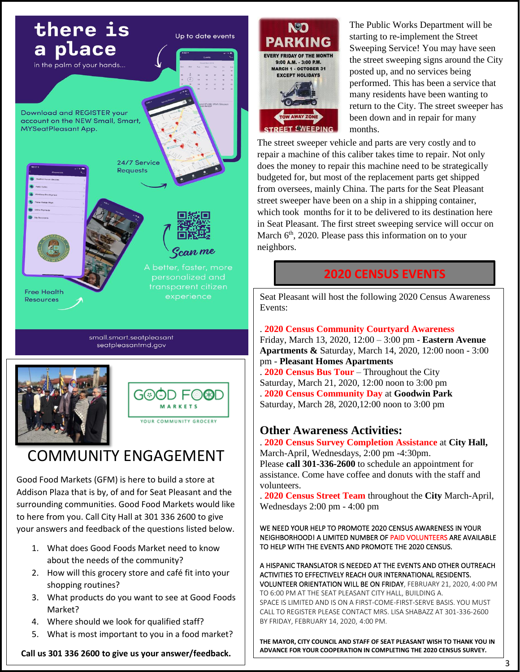

seatpleasantmd.gov





# COMMUNITY ENGAGEMENT

Good Food Markets (GFM) is here to build a store at Addison Plaza that is by, of and for Seat Pleasant and the surrounding communities. Good Food Markets would like to here from you. Call City Hall at 301 336 2600 to give your answers and feedback of the questions listed below.

- 1. What does Good Foods Market need to know about the needs of the community?
- 2. How will this grocery store and café fit into your shopping routines?
- 3. What products do you want to see at Good Foods Market?
- 4. Where should we look for qualified staff?
- 5. What is most important to you in a food market?

**EVERY FRIDAY OF THE MONTH** 9:00 A.M. - 3:00 P.M. **MARCH 1 - OCTOBER 31 EXCEPT HOLIDAYS TOFFT SWEEPING** 

The Public Works Department will be starting to re-implement the Street Sweeping Service! You may have seen the street sweeping signs around the City posted up, and no services being performed. This has been a service that many residents have been wanting to return to the City. The street sweeper has been down and in repair for many months.

The street sweeper vehicle and parts are very costly and to repair a machine of this caliber takes time to repair. Not only does the money to repair this machine need to be strategically budgeted for, but most of the replacement parts get shipped from oversees, mainly China. The parts for the Seat Pleasant street sweeper have been on a ship in a shipping container, which took months for it to be delivered to its destination here in Seat Pleasant. The first street sweeping service will occur on March 6<sup>th</sup>, 2020. Please pass this information on to your neighbors.

# **2020 CENSUS EVENTS**

Seat Pleasant will host the following 2020 Census Awareness Events:

### . **2020 Census Community Courtyard Awareness**

Friday, March 13, 2020, 12:00 – 3:00 pm - **Eastern Avenue Apartments &** Saturday, March 14, 2020, 12:00 noon - 3:00 pm - **Pleasant Homes Apartments**

. **2020 Census Bus Tour** – Throughout the City Saturday, March 21, 2020, 12:00 noon to 3:00 pm . **2020 Census Community Day** at **Goodwin Park** Saturday, March 28, 2020,12:00 noon to 3:00 pm

## **Other Awareness Activities:**

. **2020 Census Survey Completion Assistance** at **City Hall,**  March-April, Wednesdays, 2:00 pm -4:30pm. Please **call 301-336-2600** to schedule an appointment for assistance. Come have coffee and donuts with the staff and volunteers.

. **2020 Census Street Team** throughout the **City** March-April, Wednesdays 2:00 pm - 4:00 pm

WE NEED YOUR HELP TO PROMOTE 2020 CENSUS AWARENESS IN YOUR NEIGHBORHOOD! A LIMITED NUMBER OF PAID VOLUNTEERS ARE AVAILABLE TO HELP WITH THE EVENTS AND PROMOTE THE 2020 CENSUS.

A HISPANIC TRANSLATOR IS NEEDED AT THE EVENTS AND OTHER OUTREACH ACTIVITIES TO EFFECTIVELY REACH OUR INTERNATIONAL RESIDENTS. VOLUNTEER ORIENTATION WILL BE ON FRIDAY, FEBRUARY 21, 2020, 4:00 PM TO 6:00 PM AT THE SEAT PLEASANT CITY HALL, BUILDING A. SPACE IS LIMITED AND IS ON A FIRST-COME-FIRST-SERVE BASIS. YOU MUST CALL TO REGISTER PLEASE CONTACT MRS. LISA SHABAZZ AT 301-336-2600 BY FRIDAY, FEBRUARY 14, 2020, 4:00 PM.

**THE MAYOR, CITY COUNCIL AND STAFF OF SEAT PLEASANT WISH TO THANK YOU IN ADVANCE FOR YOUR COOPERATION IN COMPLETING THE 2020 CENSUS SURVEY.**

**Call us 301 336 2600 to give us your answer/feedback.**